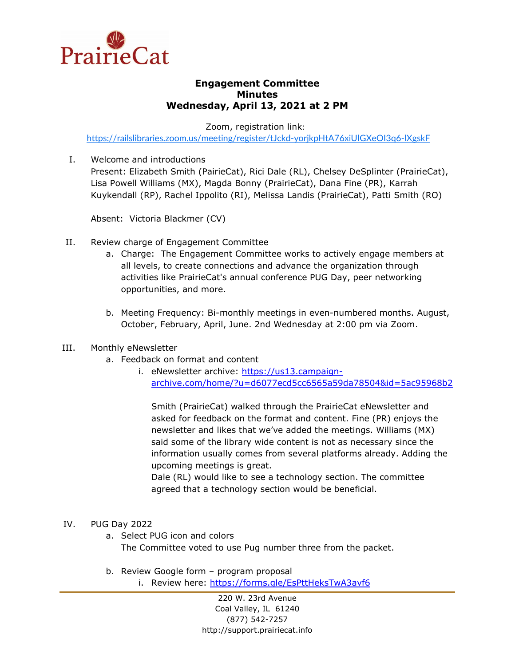

## **Engagement Committee Minutes Wednesday, April 13, 2021 at 2 PM**

Zoom, registration link:

<https://railslibraries.zoom.us/meeting/register/tJckd-yorjkpHtA76xiUlGXeOI3q6-lXgskF>

I. Welcome and introductions

Present: Elizabeth Smith (PairieCat), Rici Dale (RL), Chelsey DeSplinter (PrairieCat), Lisa Powell Williams (MX), Magda Bonny (PrairieCat), Dana Fine (PR), Karrah Kuykendall (RP), Rachel Ippolito (RI), Melissa Landis (PrairieCat), Patti Smith (RO)

Absent: Victoria Blackmer (CV)

- II. Review charge of Engagement Committee
	- a. Charge: The Engagement Committee works to actively engage members at all levels, to create connections and advance the organization through activities like PrairieCat's annual conference PUG Day, peer networking opportunities, and more.
	- b. Meeting Frequency: Bi-monthly meetings in even-numbered months. August, October, February, April, June. 2nd Wednesday at 2:00 pm via Zoom.

## III. Monthly eNewsletter

- a. Feedback on format and content
	- i. eNewsletter archive: [https://us13.campaign](https://us13.campaign-archive.com/home/?u=d6077ecd5cc6565a59da78504&id=5ac95968b2)[archive.com/home/?u=d6077ecd5cc6565a59da78504&id=5ac95968b2](https://us13.campaign-archive.com/home/?u=d6077ecd5cc6565a59da78504&id=5ac95968b2)

Smith (PrairieCat) walked through the PrairieCat eNewsletter and asked for feedback on the format and content. Fine (PR) enjoys the newsletter and likes that we've added the meetings. Williams (MX) said some of the library wide content is not as necessary since the information usually comes from several platforms already. Adding the upcoming meetings is great.

Dale (RL) would like to see a technology section. The committee agreed that a technology section would be beneficial.

## IV. PUG Day 2022

- a. Select PUG icon and colors The Committee voted to use Pug number three from the packet.
- b. Review Google form program proposal
	- i. Review here:<https://forms.gle/EsPttHeksTwA3avf6>

220 W. 23rd Avenue Coal Valley, IL 61240 (877) 542-7257 http://support.prairiecat.info